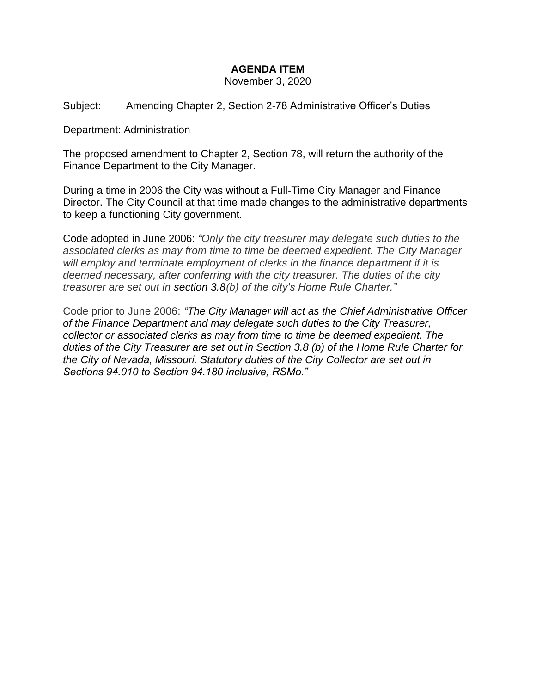## **AGENDA ITEM**

November 3, 2020

Subject: Amending Chapter 2, Section 2-78 Administrative Officer's Duties

Department: Administration

The proposed amendment to Chapter 2, Section 78, will return the authority of the Finance Department to the City Manager.

During a time in 2006 the City was without a Full-Time City Manager and Finance Director. The City Council at that time made changes to the administrative departments to keep a functioning City government.

Code adopted in June 2006: *"Only the city treasurer may delegate such duties to the associated clerks as may from time to time be deemed expedient. The City Manager will employ and terminate employment of clerks in the finance department if it is deemed necessary, after conferring with the city treasurer. The duties of the city treasurer are set out in section 3.8(b) of the city's Home Rule Charter."*

Code prior to June 2006: *"The City Manager will act as the Chief Administrative Officer of the Finance Department and may delegate such duties to the City Treasurer, collector or associated clerks as may from time to time be deemed expedient. The duties of the City Treasurer are set out in Section 3.8 (b) of the Home Rule Charter for the City of Nevada, Missouri. Statutory duties of the City Collector are set out in Sections 94.010 to Section 94.180 inclusive, RSMo."*